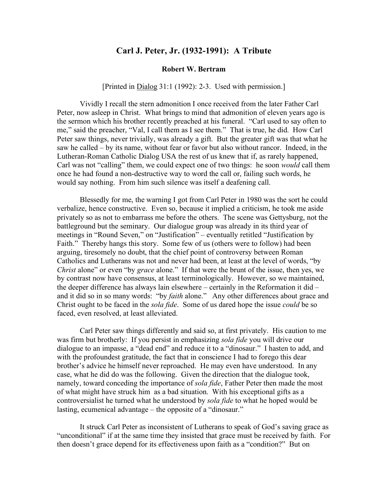## **Carl J. Peter, Jr. (1932-1991): A Tribute**

## **Robert W. Bertram**

## [Printed in Dialog 31:1 (1992): 2-3. Used with permission.]

Vividly I recall the stern admonition I once received from the later Father Carl Peter, now asleep in Christ. What brings to mind that admonition of eleven years ago is the sermon which his brother recently preached at his funeral. "Carl used to say often to me," said the preacher, "Val, I call them as I see them." That is true, he did. How Carl Peter saw things, never trivially, was already a gift. But the greater gift was that what he saw he called – by its name, without fear or favor but also without rancor. Indeed, in the Lutheran-Roman Catholic Dialog USA the rest of us knew that if, as rarely happened, Carl was not "calling" them, we could expect one of two things: he soon *would* call them once he had found a non-destructive way to word the call or, failing such words, he would say nothing. From him such silence was itself a deafening call.

Blessedly for me, the warning I got from Carl Peter in 1980 was the sort he could verbalize, hence constructive. Even so, because it implied a criticism, he took me aside privately so as not to embarrass me before the others. The scene was Gettysburg, not the battleground but the seminary. Our dialogue group was already in its third year of meetings in "Round Seven," on "Justification" – eventually retitled "Justification by Faith." Thereby hangs this story. Some few of us (others were to follow) had been arguing, tiresomely no doubt, that the chief point of controversy between Roman Catholics and Lutherans was not and never had been, at least at the level of words, "by *Christ* alone" or even "by *grace* alone." If that were the brunt of the issue, then yes, we by contrast now have consensus, at least terminologically. However, so we maintained, the deeper difference has always lain elsewhere – certainly in the Reformation it did – and it did so in so many words: "by *faith* alone." Any other differences about grace and Christ ought to be faced in the *sola fide*. Some of us dared hope the issue *could* be so faced, even resolved, at least alleviated.

Carl Peter saw things differently and said so, at first privately. His caution to me was firm but brotherly: If you persist in emphasizing *sola fide* you will drive our dialogue to an impasse, a "dead end" and reduce it to a "dinosaur." I hasten to add, and with the profoundest gratitude, the fact that in conscience I had to forego this dear brother's advice he himself never reproached. He may even have understood. In any case, what he did do was the following. Given the direction that the dialogue took, namely, toward conceding the importance of *sola fide*, Father Peter then made the most of what might have struck him as a bad situation. With his exceptional gifts as a controversialist he turned what he understood by *sola fide* to what he hoped would be lasting, ecumenical advantage – the opposite of a "dinosaur."

It struck Carl Peter as inconsistent of Lutherans to speak of God's saving grace as "unconditional" if at the same time they insisted that grace must be received by faith. For then doesn't grace depend for its effectiveness upon faith as a "condition?" But on